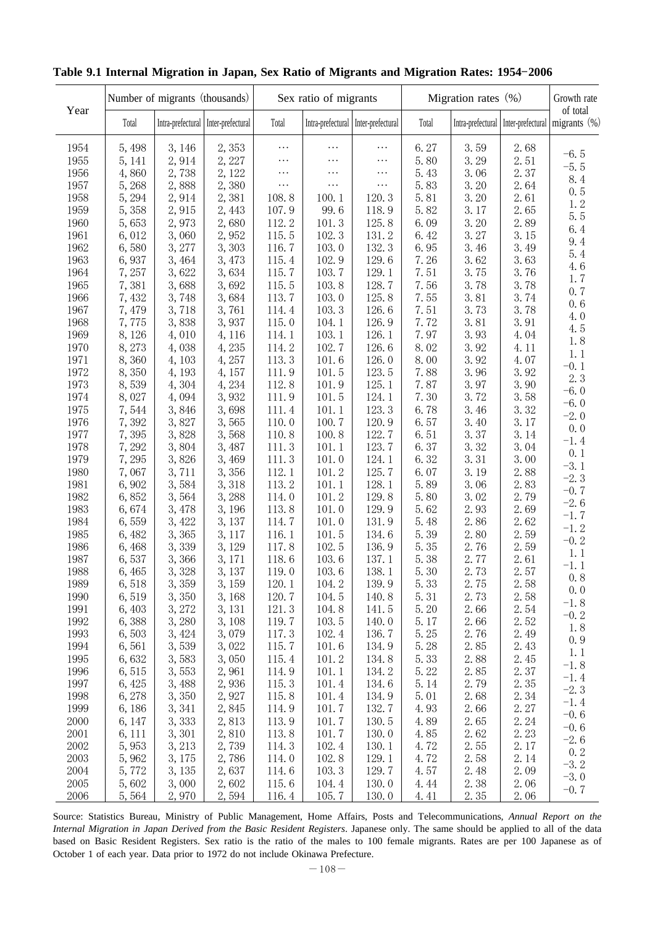|      |        | Number of migrants (thousands) |                                     |          | Sex ratio of migrants               |          |       | Migration rates $(\%)$ |      | Growth rate                                                  |
|------|--------|--------------------------------|-------------------------------------|----------|-------------------------------------|----------|-------|------------------------|------|--------------------------------------------------------------|
| Year | Total  |                                | Intra-prefectural Inter-prefectural | Total    | Intra-prefectural Inter-prefectural |          | Total |                        |      | of total<br>Intra-prefectural Inter-prefectural migrants (%) |
| 1954 | 5,498  | 3, 146                         | 2,353                               | $\cdots$ | $\cdots$                            | $\cdots$ | 6.27  | 3.59                   | 2.68 |                                                              |
| 1955 | 5, 141 | 2,914                          | 2,227                               | .        | $\cdots$                            | $\cdots$ | 5.80  | 3.29                   | 2.51 | $-6.5$                                                       |
| 1956 | 4,860  | 2,738                          | 2, 122                              | $\cdots$ | $\cdots$                            | $\cdots$ | 5.43  | 3.06                   | 2.37 | $-5.5$                                                       |
| 1957 | 5,268  | 2,888                          | 2,380                               | $\cdots$ | $\cdots$                            | $\cdots$ | 5.83  | 3.20                   | 2.64 | 8.4                                                          |
| 1958 | 5, 294 | 2,914                          | 2,381                               | 108.8    | 100.1                               | 120.3    | 5.81  | 3.20                   | 2.61 | 0.5                                                          |
| 1959 | 5,358  | 2,915                          | 2,443                               | 107.9    | 99.6                                | 118.9    | 5.82  | 3.17                   | 2.65 | 1.2                                                          |
| 1960 | 5,653  | 2,973                          | 2,680                               | 112.2    | 101.3                               | 125.8    | 6.09  | 3.20                   | 2.89 | 5.5                                                          |
| 1961 | 6,012  | 3,060                          | 2,952                               | 115.5    | 102.3                               | 131.2    | 6.42  | 3.27                   | 3.15 | 6.4                                                          |
| 1962 | 6,580  | 3, 277                         | 3,303                               | 116.7    | 103.0                               | 132.3    | 6.95  | 3.46                   | 3.49 | 9.4                                                          |
| 1963 | 6,937  | 3,464                          | 3,473                               | 115.4    | 102.9                               | 129.6    | 7.26  | 3.62                   | 3.63 | 5.4                                                          |
| 1964 | 7,257  | 3,622                          | 3,634                               | 115.7    | 103.7                               | 129.1    | 7.51  | 3.75                   | 3.76 | 4.6                                                          |
| 1965 | 7,381  | 3,688                          | 3,692                               | 115.5    | 103.8                               | 128.7    | 7.56  | 3.78                   | 3.78 | 1.7                                                          |
| 1966 | 7,432  | 3,748                          | 3,684                               | 113.7    | 103.0                               | 125.8    | 7.55  | 3.81                   | 3.74 | 0.7                                                          |
| 1967 | 7,479  | 3,718                          | 3,761                               | 114.4    | 103.3                               | 126.6    | 7.51  | 3.73                   | 3.78 | 0.6                                                          |
| 1968 | 7,775  | 3,838                          | 3,937                               | 115.0    | 104.1                               | 126.9    | 7.72  | 3.81                   | 3.91 | 4.0                                                          |
| 1969 | 8,126  | 4,010                          | 4,116                               | 114.1    | 103.1                               | 126.1    | 7.97  | 3.93                   | 4.04 | 4.5                                                          |
| 1970 | 8,273  | 4,038                          | 4,235                               | 114.2    | 102.7                               | 126.6    | 8.02  | 3.92                   | 4.11 | 1.8                                                          |
| 1971 | 8,360  | 4,103                          | 4,257                               | 113.3    | 101.6                               | 126.0    | 8.00  | 3.92                   | 4.07 | 1.1                                                          |
| 1972 | 8,350  |                                |                                     |          | 101.5                               | 123.5    | 7.88  | 3.96                   | 3.92 | $-0.1$                                                       |
|      |        | 4, 193                         | 4, 157                              | 111.9    |                                     | 125.1    |       |                        | 3.90 | 2.3                                                          |
| 1973 | 8,539  | 4,304                          | 4,234                               | 112.8    | 101.9                               |          | 7.87  | 3.97                   | 3.58 | $-6.0$                                                       |
| 1974 | 8,027  | 4,094                          | 3,932                               | 111.9    | 101.5                               | 124.1    | 7.30  | 3.72                   |      | $-6.0$                                                       |
| 1975 | 7,544  | 3,846                          | 3,698                               | 111.4    | 101.1                               | 123.3    | 6.78  | 3.46                   | 3.32 | $-2.0$                                                       |
| 1976 | 7,392  | 3,827                          | 3,565                               | 110.0    | 100.7                               | 120.9    | 6.57  | 3.40                   | 3.17 | 0.0                                                          |
| 1977 | 7,395  | 3,828                          | 3,568                               | 110.8    | 100.8                               | 122.7    | 6.51  | 3.37                   | 3.14 | $-1.4$                                                       |
| 1978 | 7,292  | 3,804                          | 3,487                               | 111.3    | 101.1                               | 123.7    | 6.37  | 3.32                   | 3.04 | 0.1                                                          |
| 1979 | 7,295  | 3,826                          | 3,469                               | 111.3    | 101.0                               | 124.1    | 6.32  | 3.31                   | 3.00 | $-3.1$                                                       |
| 1980 | 7,067  | 3,711                          | 3,356                               | 112.1    | 101.2                               | 125.7    | 6.07  | 3.19                   | 2.88 | $-2.3$                                                       |
| 1981 | 6,902  | 3,584                          | 3,318                               | 113.2    | 101.1                               | 128.1    | 5.89  | 3.06                   | 2.83 | $-0.7$                                                       |
| 1982 | 6,852  | 3,564                          | 3,288                               | 114.0    | 101.2                               | 129.8    | 5.80  | 3.02                   | 2.79 | $-2.6$                                                       |
| 1983 | 6,674  | 3,478                          | 3, 196                              | 113.8    | 101.0                               | 129.9    | 5.62  | 2.93                   | 2.69 | $-1.7$                                                       |
| 1984 | 6,559  | 3,422                          | 3, 137                              | 114.7    | 101.0                               | 131.9    | 5.48  | 2.86                   | 2.62 | $-1.2$                                                       |
| 1985 | 6,482  | 3,365                          | 3, 117                              | 116.1    | 101.5                               | 134.6    | 5.39  | 2.80                   | 2.59 | $-0.2$                                                       |
| 1986 | 6,468  | 3,<br>339                      | 3, 129                              | 117.8    | 102.5                               | 136.9    | 5.35  | 2.76                   | 2.59 | 1.1                                                          |
| 1987 | 6,537  | 366<br>3,                      | 3, 171                              | 118.6    | 103.6                               | 137.1    | 5.38  | 2.77                   | 2.61 | $-1.1$                                                       |
| 1988 | 6,465  | 3,328                          | 3,137                               | 119.0    | 103.6                               | 138.1    | 5.30  | 2.73                   | 2.57 | $0.8\,$                                                      |
| 1989 | 6,518  | 3,359                          | 3,159                               | 120.1    | 104.2                               | 139.9    | 5.33  | 2.75                   | 2.58 | 0.0                                                          |
| 1990 | 6,519  | 3,350                          | 3,168                               | 120.7    | 104.5                               | 140.8    | 5.31  | 2.73                   | 2.58 | $-1.8$                                                       |
| 1991 | 6,403  | 3, 272                         | 3, 131                              | 121.3    | 104.8                               | 141.5    | 5.20  | 2.66                   | 2.54 | $-0.2$                                                       |
| 1992 | 6,388  | 3,280                          | 3,108                               | 119.7    | 103.5                               | 140.0    | 5.17  | 2.66                   | 2.52 | 1.8                                                          |
| 1993 | 6,503  | 3, 424                         | 3,079                               | 117.3    | 102.4                               | 136.7    | 5.25  | 2.76                   | 2.49 | 0.9                                                          |
| 1994 | 6,561  | 3,539                          | 3,022                               | 115.7    | 101.6                               | 134.9    | 5.28  | 2.85                   | 2.43 | 1.1                                                          |
| 1995 | 6,632  | 3,583                          | 3,050                               | 115.4    | 101.2                               | 134.8    | 5.33  | 2.88                   | 2.45 | $-1.8$                                                       |
| 1996 | 6,515  | 3,553                          | 2,961                               | 114.9    | 101.1                               | 134.2    | 5.22  | 2.85                   | 2.37 | $-1.4$                                                       |
| 1997 | 6, 425 | 3,488                          | 2,936                               | 115.3    | 101.4                               | 134.6    | 5.14  | 2.79                   | 2.35 | $-2.3$                                                       |
| 1998 | 6,278  | 3,350                          | 2,927                               | 115.8    | 101.4                               | 134.9    | 5.01  | 2.68                   | 2.34 | $-1.4$                                                       |
| 1999 | 6, 186 | 3, 341                         | 2,845                               | 114.9    | 101.7                               | 132.7    | 4.93  | 2.66                   | 2.27 | $-0.6$                                                       |
| 2000 | 6, 147 | 3,333                          | 2,813                               | 113.9    | 101.7                               | 130.5    | 4.89  | 2.65                   | 2.24 | $-0.6$                                                       |
| 2001 | 6, 111 | 3,301                          | 2,810                               | 113.8    | 101.7                               | 130.0    | 4.85  | 2.62                   | 2.23 | $-2.6$                                                       |
| 2002 | 5,953  | 3, 213                         | 2,739                               | 114.3    | 102.4                               | 130.1    | 4.72  | 2.55                   | 2.17 | 0.2                                                          |
| 2003 | 5,962  | 3, 175                         | 2,786                               | 114.0    | 102.8                               | 129.1    | 4.72  | 2.58                   | 2.14 | $-3.2$                                                       |
| 2004 | 5,772  | 3, 135                         | 2,637                               | 114.6    | 103.3                               | 129.7    | 4.57  | 2.48                   | 2.09 | $-3.0$                                                       |
| 2005 | 5,602  | 3,000                          | 2,602                               | 115.6    | 104.4                               | 130.0    | 4.44  | 2.38                   | 2.06 | $-0.7$                                                       |
| 2006 | 5,564  | 2,970                          | 2,594                               | 116.4    | 105.7                               | 130.0    | 4.41  | 2.35                   | 2.06 |                                                              |

## **Table 9.1 Internal Migration in Japan, Sex Ratio of Migrants and Migration Rates: 1954 2006** -

Source: Statistics Bureau, Ministry of Public Management, Home Affairs, Posts and Telecommunications, *Annual Report on the Internal Migration in Japan Derived from the Basic Resident Registers*. Japanese only. The same should be applied to all of the data based on Basic Resident Registers. Sex ratio is the ratio of the males to 100 female migrants. Rates are per 100 Japanese as of October 1 of each year. Data prior to 1972 do not include Okinawa Prefecture.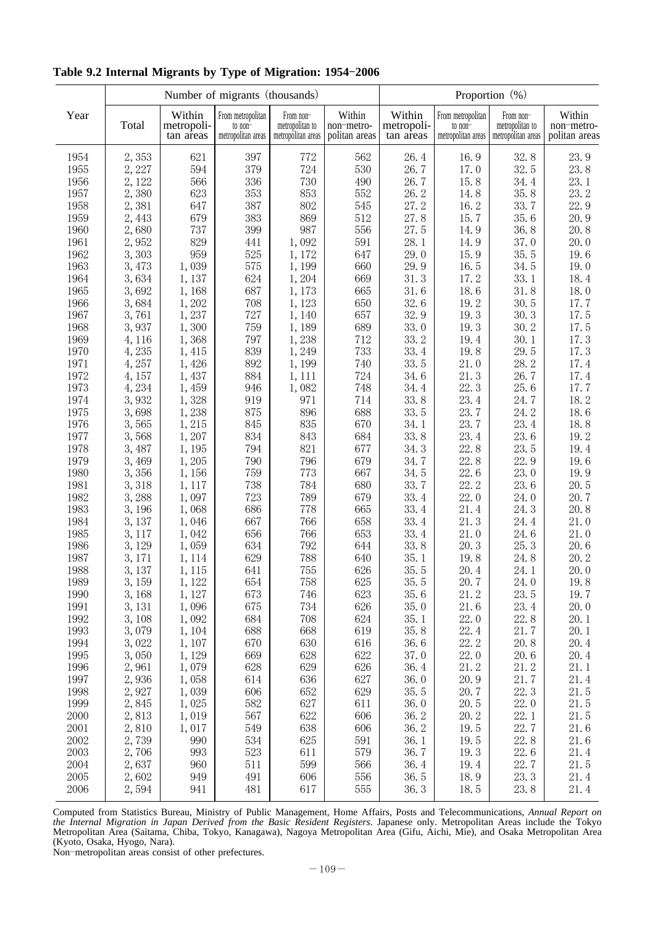|              |                |                                   | Number of migrants (thousands)                     |                                                    |                                       | Proportion (%)                    |                                                    |                                                    |                                       |  |
|--------------|----------------|-----------------------------------|----------------------------------------------------|----------------------------------------------------|---------------------------------------|-----------------------------------|----------------------------------------------------|----------------------------------------------------|---------------------------------------|--|
| Year         | Total          | Within<br>metropoli-<br>tan areas | From metropolitan<br>to non-<br>metropolitan areas | From non-<br>metropolitan to<br>metropolitan areas | Within<br>non-metro-<br>politan areas | Within<br>metropoli-<br>tan areas | From metropolitan<br>to non-<br>metropolitan areas | From non-<br>metropolitan to<br>metropolitan areas | Within<br>non-metro-<br>politan areas |  |
| 1954         | 2,353          | 621                               | 397                                                | 772                                                | 562                                   | 26.4                              | 16.9                                               | 32.8                                               | 23.9                                  |  |
| 1955         | 2,227          | 594                               | 379                                                | 724                                                | 530                                   | 26.7                              | 17.0                                               | 32.5                                               | 23.8                                  |  |
| 1956         | 2, 122         | 566                               | 336                                                | 730                                                | 490                                   | 26.7                              | 15.8                                               | 34.4                                               | 23.1                                  |  |
| 1957         | 2,380          | 623                               | 353                                                | 853                                                | 552                                   | 26.2                              | 14.8                                               | 35.8                                               | 23.2                                  |  |
| 1958         | 2,381          | 647                               | 387                                                | 802                                                | 545                                   | 27.2                              | 16.2                                               | 33.7                                               | 22.9                                  |  |
| 1959         | 2,443          | 679                               | 383                                                | 869                                                | 512                                   | 27.8                              | 15.7                                               | 35.6                                               | 20.9                                  |  |
| 1960         | 2,680          | 737                               | 399                                                | 987                                                | 556                                   | 27.5                              | 14.9                                               | 36.8                                               | 20.8                                  |  |
| 1961         | 2,952          | 829                               | 441                                                | 1,092                                              | 591                                   | 28.1                              | 14.9                                               | 37.0                                               | 20.0                                  |  |
| 1962         | 3,303          | 959                               | 525                                                | 1,172                                              | 647                                   | 29.0                              | 15.9                                               | 35.5                                               | 19.6                                  |  |
| 1963         | 3,473          | 1,039                             | 575                                                | 1,199                                              | 660                                   | 29.9                              | 16.5                                               | 34.5                                               | 19.0                                  |  |
| 1964         | 3,634          | 1,137                             | 624                                                | 1,204                                              | 669                                   | 31.3                              | 17.2                                               | 33.1                                               | 18.4                                  |  |
| 1965         | 3,692          | 1,168                             | 687                                                | 1,173                                              | 665                                   | 31.6                              | 18.6                                               | 31.8                                               | 18.0                                  |  |
| 1966         | 3,684          | 1,202                             | 708                                                | 1,123                                              | 650                                   | 32.6                              | 19.2                                               | 30.5                                               | 17.7                                  |  |
| 1967         | 3,761          | 1,237                             | 727                                                | 1,140                                              | 657                                   | 32.9                              | 19.3                                               | 30.3                                               | 17.5                                  |  |
| 1968         | 3,937          | 1,300                             | 759                                                | 1,189                                              | 689                                   | 33.0                              | 19.3                                               | 30.2                                               | 17.5                                  |  |
| 1969         | 4, 116         | 1,368                             | 797                                                | 1,238                                              | 712                                   | 33.2                              | 19.4                                               | 30.1                                               | 17.3                                  |  |
| 1970         | 4,235          | 1,415                             | 839                                                | 1,249                                              | 733                                   | 33.4                              | 19.8                                               | 29.5                                               | 17.3                                  |  |
| 1971         | 4,257          | 1,426                             | 892                                                | 1,199                                              | 740                                   | 33.5                              | 21.0                                               | 28.2                                               | 17.4                                  |  |
| 1972         | 4,157          | 1,437                             | 884                                                | 1, 111                                             | 724                                   | 34.6                              | 21.3                                               | 26.7                                               | 17.4                                  |  |
| 1973         | 4,234          | 1,459                             | 946                                                | 1,082                                              | 748                                   | 34.4                              | 22.3                                               | 25.6                                               | 17.7                                  |  |
| 1974         | 3,932          | 1,328                             | 919                                                | 971                                                | 714                                   | 33.8                              | 23.4                                               | 24.7                                               | 18.2                                  |  |
| 1975         | 3,698          | 1,238                             | 875                                                | 896                                                | 688                                   | 33.5                              | 23.7                                               | 24.2                                               | 18.6                                  |  |
| 1976         | 3,565          | 1,215                             | 845                                                | 835                                                | 670                                   | 34.1                              | 23.7                                               | 23.4                                               | 18.8                                  |  |
| 1977         | 3,568          | 1,207                             | 834                                                | 843                                                | 684                                   | 33.8                              | 23.4                                               | 23.6                                               | 19.2                                  |  |
| 1978         | 3,487          | 1,195                             | 794                                                | 821                                                | 677                                   | 34.3                              | 22.8                                               | 23.5                                               | 19.4                                  |  |
| 1979         | 3,469          | 1,205                             | 790                                                | 796                                                | 679                                   | 34.7                              | 22.8                                               | 22.9                                               | 19.6                                  |  |
| 1980         | 3,356          | 1,156                             | 759                                                | 773                                                | 667                                   | 34.5                              | 22.6                                               | 23.0                                               | 19.9                                  |  |
| 1981         | 3,318          | 1, 117                            | 738                                                | 784                                                | 680                                   | 33.7                              | 22.2                                               | 23.6                                               | 20.5                                  |  |
| 1982<br>1983 | 3,288<br>3,196 | 1,097                             | 723<br>686                                         | 789<br>778                                         | 679<br>665                            | 33.4<br>33.4                      | 22.0<br>21.4                                       | 24.0<br>24.3                                       | 20.7<br>20.8                          |  |
| 1984         | 3,137          | 1,068<br>1,046                    | 667                                                | 766                                                | 658                                   | 33.4                              | 21.3                                               | 24.4                                               | 21.0                                  |  |
| 1985         | 3, 117         | 1,042                             | 656                                                | 766                                                | 653                                   | 33.4                              | 21.0                                               | 24.6                                               | 21.0                                  |  |
| 1986         | 3, 129         | 1,059                             | 634                                                | 792                                                | 644                                   | 33.8                              | 20.3                                               | 25.3                                               | 20.6                                  |  |
| 1987         | 3, 171         | 1, 114                            | 629                                                | 788                                                | 640                                   | 35.1                              | 19.8                                               | 24.8                                               | 20.2                                  |  |
| 1988         | 3,137          | 1, 115                            | 641                                                | 755                                                | 626                                   | 35.5                              | 20.4                                               | 24.1                                               | 20.0                                  |  |
| 1989         | 3,159          | 1,122                             | 654                                                | 758                                                | 625                                   | 35.5                              | 20.7                                               | 24.0                                               | 19.8                                  |  |
| 1990         | 3,168          | 1,127                             | 673                                                | 746                                                | 623                                   | 35.6                              | 21.2                                               | 23.5                                               | 19.7                                  |  |
| 1991         | 3, 131         | 1,096                             | 675                                                | 734                                                | 626                                   | 35.0                              | 21.6                                               | 23.4                                               | 20.0                                  |  |
| 1992         | 3,108          | 1,092                             | 684                                                | 708                                                | 624                                   | 35.1                              | 22.0                                               | 22.8                                               | 20.1                                  |  |
| 1993         | 3,079          | 1,104                             | 688                                                | 668                                                | 619                                   | 35.8                              | 22.4                                               | 21.7                                               | 20.1                                  |  |
| 1994         | 3,022          | 1,107                             | 670                                                | 630                                                | 616                                   | 36.6                              | 22.2                                               | 20.8                                               | 20.4                                  |  |
| 1995         | 3,050          | 1,129                             | 669                                                | 628                                                | 622                                   | 37.0                              | 22.0                                               | 20.6                                               | 20.4                                  |  |
| 1996         | 2,961          | 1,079                             | 628                                                | 629                                                | 626                                   | 36.4                              | 21.2                                               | 21.2                                               | 21.1                                  |  |
| 1997         | 2,936          | 1,058                             | 614                                                | 636                                                | 627                                   | 36.0                              | 20.9                                               | 21.7                                               | 21.4                                  |  |
| 1998         | 2,927          | 1,039                             | 606                                                | 652                                                | 629                                   | 35.5                              | 20.7                                               | 22.3                                               | 21.5                                  |  |
| 1999         | 2,845          | 1,025                             | 582                                                | 627                                                | 611                                   | 36.0                              | 20.5                                               | 22.0                                               | 21.5                                  |  |
| 2000         | 2,813          | 1,019                             | 567                                                | 622                                                | 606                                   | 36.2                              | 20.2                                               | 22.1                                               | 21.5                                  |  |
| 2001         | 2,810          | 1,017                             | 549                                                | 638                                                | 606                                   | 36.2                              | 19.5                                               | 22.7                                               | 21.6                                  |  |
| 2002         | 2,739          | 990                               | 534                                                | 625                                                | 591                                   | 36.1                              | 19.5                                               | 22.8                                               | 21.6                                  |  |
| 2003         | 2,706          | 993                               | 523                                                | 611                                                | 579                                   | 36.7                              | 19.3                                               | 22.6                                               | 21.4                                  |  |
| 2004         | 2,637          | 960                               | 511                                                | 599                                                | 566                                   | 36.4                              | 19.4                                               | 22.7                                               | 21.5                                  |  |
| 2005         | 2,602          | 949                               | 491                                                | 606                                                | 556                                   | 36.5                              | 18.9                                               | 23.3                                               | 21.4                                  |  |
| 2006         | 2,594          | 941                               | 481                                                | 617                                                | 555                                   | 36.3                              | 18.5                                               | 23.8                                               | 21.4                                  |  |

## Table 9.2 Internal Migrants by Type of Migration: 1954-2006

Computed from Statistics Bureau, Ministry of Public Management, Home Affairs, Posts and Telecommunications, *Annual Report on the Internal Migration in Japan Derived from the Basic Resident Registers*. Japanese only. Metropolitan Areas include the Tokyo Metropolitan Area (Saitama, Chiba, Tokyo, Kanagawa), Nagoya Metropolitan Area (Gifu, Aichi, Mie), and Osaka Metropolitan Area (Kyoto, Osaka, Hyogo, Nara).

Non-metropolitan areas consist of other prefectures.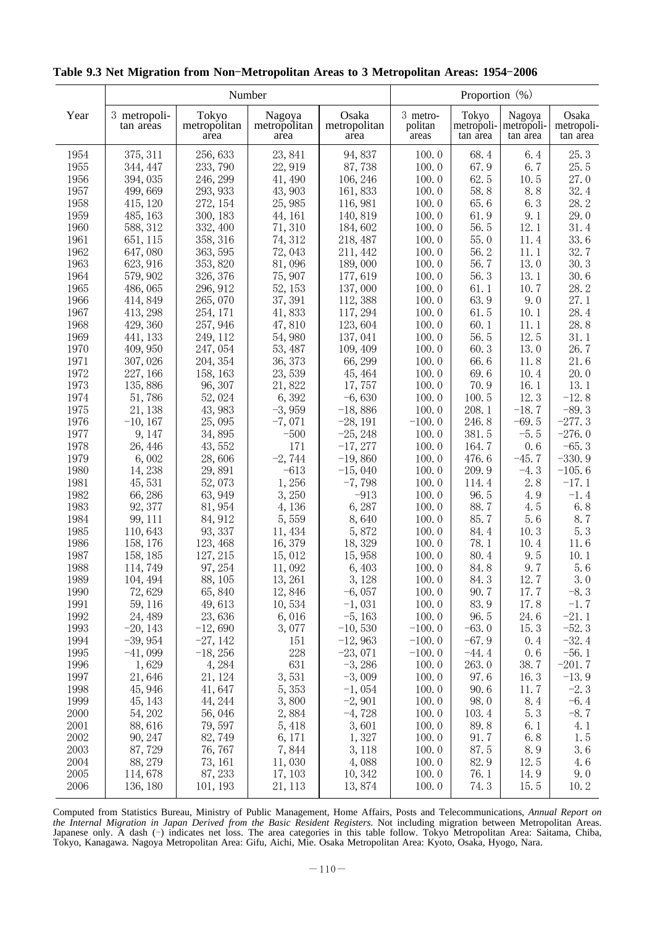|              |                           | Number                        |                                |                               | Proportion (%)               |                                 |                                  |                                 |
|--------------|---------------------------|-------------------------------|--------------------------------|-------------------------------|------------------------------|---------------------------------|----------------------------------|---------------------------------|
| Year         | 3 metropoli-<br>tan areas | Tokyo<br>metropolitan<br>area | Nagoya<br>metropolitan<br>area | Osaka<br>metropolitan<br>area | 3 metro-<br>politan<br>areas | Tokyo<br>metropoli-<br>tan area | Nagoya<br>metropoli-<br>tan area | Osaka<br>metropoli-<br>tan area |
| 1954         | 375, 311                  | 256, 633                      | 23, 841                        | 94,837                        | 100.0                        | 68.4                            | 6.4                              | 25.3                            |
| 1955         | 344, 447                  | 233, 790                      | 22,919                         | 87,738                        | 100.0                        | 67.9                            | 6.7                              | 25.5                            |
| 1956         | 394,035                   | 246, 299                      | 41, 490                        | 106, 246                      | 100.0                        | 62.5                            | 10.5                             | 27.0                            |
| 1957         | 499,669                   | 293, 933                      | 43, 903                        | 161,833                       | 100.0                        | 58.8                            | 8.8                              | 32.4                            |
| 1958         | 415, 120                  | 272, 154                      | 25,985                         | 116, 981                      | 100.0                        | 65.6                            | 6.3                              | 28.2                            |
| 1959         | 485, 163                  | 300, 183                      | 44, 161                        | 140, 819                      | 100.0                        | 61.9                            | 9.1                              | 29.0                            |
| 1960         | 588, 312                  | 332, 400                      | 71, 310                        | 184,602                       | 100.0                        | 56.5                            | 12.1                             | 31.4                            |
| 1961         | 651, 115                  | 358, 316                      | 74, 312                        | 218, 487                      | 100.0                        | 55.0                            | 11.4                             | 33.6                            |
| 1962         | 647,080                   | 363, 595                      | 72,043                         | 211, 442                      | 100.0                        | 56.2                            | 11.1                             | 32.7                            |
| 1963         | 623, 916                  | 353, 820                      | 81,096                         | 189,000                       | 100.0                        | 56.7                            | 13.0                             | 30.3                            |
| 1964         | 579, 902                  | 326, 376                      | 75,907                         | 177,619                       | 100.0                        | 56.3                            | 13.1                             | 30.6                            |
| 1965         | 486,065                   | 296, 912                      | 52, 153                        | 137,000                       | 100.0                        | 61.1                            | 10.7                             | 28.2                            |
| 1966         | 414, 849                  | 265,070                       | 37, 391                        | 112,388                       | 100.0                        | 63.9                            | 9.0                              | 27.1                            |
| 1967         | 413, 298                  | 254, 171                      | 41,833                         | 117, 294                      | 100.0                        | 61.5                            | 10.1                             | 28.4                            |
| 1968         | 429, 360                  | 257, 946                      | 47,810                         | 123,604                       | 100.0                        | 60.1                            | 11.1                             | 28.8                            |
| 1969         | 441, 133                  | 249, 112                      | 54,980                         | 137,041                       | 100.0                        | 56.5                            | 12.5                             | 31.1                            |
| 1970         | 409, 950                  | 247,054                       | 53, 487                        | 109, 409                      | 100.0                        | 60.3                            | 13.0                             | 26.7                            |
| 1971         | 307, 026                  | 204, 354                      | 36, 373                        | 66, 299                       | 100.0                        | 66.6                            | 11.8                             | 21.6                            |
| 1972<br>1973 | 227, 166                  | 158, 163                      | 23,539                         | 45, 464                       | 100.0                        | 69.6<br>70.9                    | 10.4<br>16.1                     | 20.0<br>13.1                    |
| 1974         | 135,886<br>51,786         | 96, 307<br>52,024             | 21,822<br>6,392                | 17, 757<br>$-6,630$           | 100.0<br>100.0               | 100.5                           | 12.3                             | $-12.8$                         |
| 1975         | 21, 138                   | 43, 983                       | $-3,959$                       | $-18,886$                     | 100.0                        | 208.1                           | $-18.7$                          | $-89.3$                         |
| 1976         | $-10, 167$                | 25,095                        | $-7,071$                       | $-28, 191$                    | $-100.0$                     | 246.8                           | $-69.5$                          | $-277.3$                        |
| 1977         | 9, 147                    | 34,895                        | $-500$                         | $-25, 248$                    | 100.0                        | 381.5                           | $-5.5$                           | $-276.0$                        |
| 1978         | 26, 446                   | 43, 552                       | 171                            | $-17,277$                     | 100.0                        | 164.7                           | 0.6                              | $-65.3$                         |
| 1979         | 6,002                     | 28,606                        | $-2,744$                       | $-19,860$                     | 100.0                        | 476.6                           | $-45.7$                          | $-330.9$                        |
| 1980         | 14,238                    | 29,891                        | $-613$                         | $-15,040$                     | 100.0                        | 209.9                           | $-4.3$                           | $-105.6$                        |
| 1981         | 45,531                    | 52,073                        | 1,256                          | $-7,798$                      | 100.0                        | 114.4                           | 2.8                              | $-17.1$                         |
| 1982         | 66,286                    | 63, 949                       | 3,250                          | $-913$                        | 100.0                        | 96.5                            | 4.9                              | $-1.4$                          |
| 1983         | 92, 377                   | 81, 954                       | 4,136                          | 6,287                         | 100.0                        | 88.7                            | 4.5                              | 6.8                             |
| 1984         | 99, 111                   | 84, 912                       | 5,559                          | 8,640                         | 100.0                        | 85.7                            | 5.6                              | 8.7                             |
| 1985         | 110,643                   | 93, 337                       | 11, 434                        | 5,872                         | 100.0                        | 84.4                            | 10.3                             | 5.3                             |
| 1986         | 158, 176                  | 123, 468                      | 16, 379                        | 18, 329                       | 100.0                        | 78.1                            | 10.4                             | 11.6                            |
| 1987         | 158, 185                  | 127, 215                      | 15,012                         | 15,958                        | 100.0                        | 80.4                            | 9.5                              | 10.1                            |
| 1988         | 114,749                   | 97, 254                       | 11,092                         | 6,403                         | 100.0                        | 84.8                            | 9.7                              | 5.6                             |
| 1989         | 104, 494                  | 88, 105                       | 13, 261                        | 3, 128                        | 100.0                        | 84.3                            | 12.7                             | 3.0                             |
| 1990         | 72,629                    | 65,840                        | 12,846                         | $-6,057$                      | 100.0                        | 90.7                            | 17.7                             | $-8.3$                          |
| 1991         | 59, 116                   | 49,613                        | 10,534                         | $-1,031$                      | 100.0                        | 83.9                            | 17.8                             | $-1.7$                          |
| 1992         | 24, 489                   | 23,636                        | 6,016                          | $-5,163$                      | 100.0                        | 96.5                            | 24.6                             | $-21.1$                         |
| 1993         | $-20, 143$                | $-12,690$                     | 3,077                          | $-10,530$                     | $-100.0$                     | $-63.0$                         | 15.3                             | $-52.3$                         |
| 1994         | $-39,954$                 | $-27,142$                     | 151                            | $-12,963$                     | $-100.0$                     | $-67.9$                         | 0.4                              | $-32.4$                         |
| 1995         | $-41,099$                 | $-18, 256$                    | 228                            | $-23,071$                     | $-100.0$                     | $-44.4$                         | 0.6                              | $-56.1$                         |
| 1996         | 1,629                     | 4,284                         | 631                            | $-3,286$                      | 100.0                        | 263.0                           | 38.7                             | $-201.7$                        |
| 1997         | 21,646                    | 21, 124                       | 3,531                          | $-3,009$                      | 100.0                        | 97.6                            | 16.3                             | $-13.9$                         |
| 1998         | 45, 946                   | 41,647                        | 5, 353                         | $-1,054$                      | 100.0                        | 90.6                            | 11.7                             | $-2.3$                          |
| 1999         | 45, 143                   | 44, 244                       | 3,800                          | $-2,901$                      | 100.0                        | 98.0                            | 8.4                              | $-6.4$                          |
| 2000         | 54, 202                   | 56,046                        | 2,884                          | $-4,728$                      | 100.0                        | 103.4                           | 5.3                              | $-8.7$                          |
| 2001         | 88,616                    | 79,597                        | 5, 418                         | 3,601                         | 100.0                        | 89.8                            | 6.1                              | 4.1                             |
| 2002         | 90, 247                   | 82,749                        | 6, 171                         | 1,327                         | 100.0                        | 91.7                            | 6.8                              | 1.5                             |
| 2003<br>2004 | 87,729<br>88, 279         | 76, 767                       | 7,844                          | 3, 118                        | 100.0                        | 87.5<br>82.9                    | 8.9                              | 3.6                             |
| 2005         | 114,678                   | 73, 161<br>87, 233            | 11,030<br>17, 103              | 4,088<br>10, 342              | 100.0<br>100.0               | 76.1                            | 12.5<br>14.9                     | 4.6<br>9.0                      |
| 2006         | 136, 180                  | 101, 193                      | 21, 113                        | 13,874                        | 100.0                        | 74.3                            | 15.5                             | 10.2                            |
|              |                           |                               |                                |                               |                              |                                 |                                  |                                 |

## Table 9.3 Net Migration from Non-Metropolitan Areas to 3 Metropolitan Areas: 1954-2006

Computed from Statistics Bureau, Ministry of Public Management, Home Affairs, Posts and Telecommunications, *Annual Report on the Internal Migration in Japan Derived from the Basic Resident Registers*. Not including migration between Metropolitan Areas. Japanese only. A dash (-) indicates net loss. The area categories in this table follow. Tokyo Metropolitan Area: Saitama, Chiba, Tokyo, Kanagawa. Nagoya Metropolitan Area: Gifu, Aichi, Mie. Osaka Metropolitan Area: Kyoto, Osaka, Hyogo, Nara.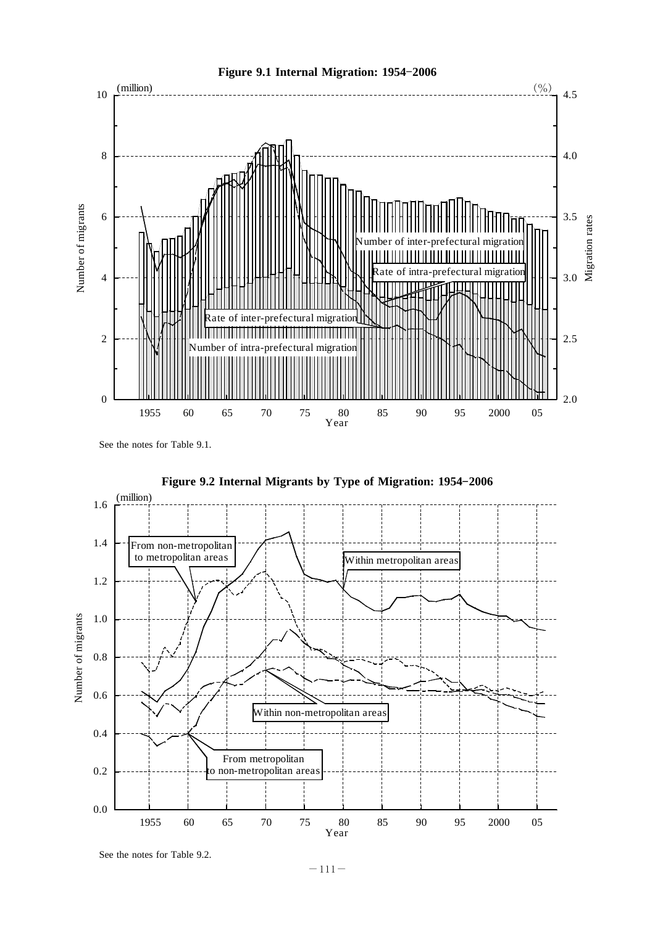

See the notes for Table 9.1.

![](_page_3_Figure_2.jpeg)

Figure 9.2 Internal Migrants by Type of Migration: 1954-2006

See the notes for Table 9.2.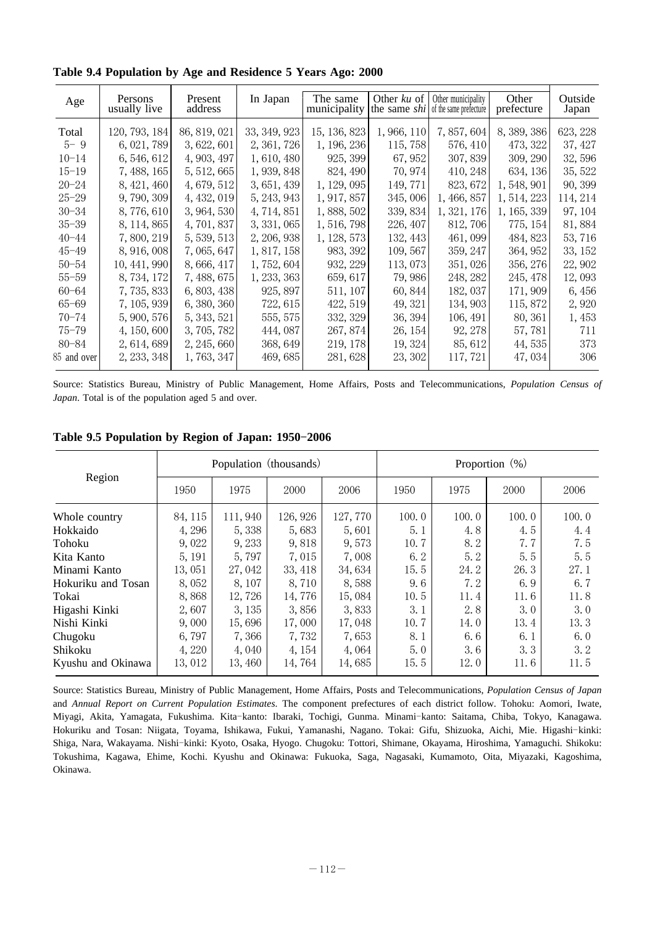| Age         | Persons<br>usually live | Present<br>address | In Japan     | The same<br>municipality the same $\frac{shi}{s}$ of the same prefecture |           | Other $ku$ of $\theta$ Other municipality | Other<br>prefecture | Outside<br>Japan |
|-------------|-------------------------|--------------------|--------------|--------------------------------------------------------------------------|-----------|-------------------------------------------|---------------------|------------------|
| Total       | 120, 793, 184           | 86, 819, 021       | 33, 349, 923 | 15, 136, 823                                                             | 1,966,110 | 7,857,604                                 | 8, 389, 386         | 623, 228         |
| $5 - 9$     | 6, 021, 789             | 3, 622, 601        | 2, 361, 726  | 1, 196, 236                                                              | 115, 758  | 576, 410                                  | 473, 322            | 37, 427          |
| $10 - 14$   | 6, 546, 612             | 4, 903, 497        | 1,610,480    | 925, 399                                                                 | 67, 952   | 307,839                                   | 309, 290            | 32,596           |
| $15 - 19$   | 7, 488, 165             | 5, 512, 665        | 1, 939, 848  | 824, 490                                                                 | 70, 974   | 410, 248                                  | 634, 136            | 35, 522          |
| $20 - 24$   | 8, 421, 460             | 4, 679, 512        | 3, 651, 439  | 1, 129, 095                                                              | 149, 771  | 823, 672                                  | 1,548,901           | 90, 399          |
| $25 - 29$   | 9,790,309               | 4, 432, 019        | 5, 243, 943  | 1, 917, 857                                                              | 345,006   | 1, 466, 857                               | 1, 514, 223         | 114, 214         |
| $30 - 34$   | 8,776,610               | 3, 964, 530        | 4, 714, 851  | 1,888,502                                                                | 339, 834  | 1, 321, 176                               | 1, 165, 339         | 97, 104          |
| $35 - 39$   | 8, 114, 865             | 4, 701, 837        | 3, 331, 065  | 1,516,798                                                                | 226, 407  | 812, 706                                  | 775, 154            | 81,884           |
| $40 - 44$   | 7,800,219               | 5, 539, 513        | 2, 206, 938  | 1, 128, 573                                                              | 132, 443  | 461,099                                   | 484, 823            | 53, 716          |
| $45 - 49$   | 8, 916, 008             | 7,065,647          | 1, 817, 158  | 983, 392                                                                 | 109, 567  | 359, 247                                  | 364, 952            | 33, 152          |
| $50 - 54$   | 10, 441, 990            | 8,666,417          | 1,752,604    | 932, 229                                                                 | 113,073   | 351,026                                   | 356, 276            | 22, 902          |
| $55 - 59$   | 8,734,172               | 7, 488, 675        | 1, 233, 363  | 659, 617                                                                 | 79,986    | 248, 282                                  | 245, 478            | 12,093           |
| $60 - 64$   | 7,735,833               | 6, 803, 438        | 925, 897     | 511, 107                                                                 | 60, 844   | 182, 037                                  | 171, 909            | 6, 456           |
| $65 - 69$   | 7, 105, 939             | 6, 380, 360        | 722, 615     | 422, 519                                                                 | 49, 321   | 134, 903                                  | 115,872             | 2,920            |
| $70 - 74$   | 5,900,576               | 5, 343, 521        | 555, 575     | 332, 329                                                                 | 36, 394   | 106, 491                                  | 80, 361             | 1,453            |
| $75 - 79$   | 4, 150, 600             | 3,705,782          | 444,087      | 267, 874                                                                 | 26, 154   | 92, 278                                   | 57,781              | 711              |
| 80-84       | 2, 614, 689             | 2, 245, 660        | 368, 649     | 219, 178                                                                 | 19, 324   | 85, 612                                   | 44, 535             | 373              |
| 85 and over | 2, 233, 348             | 1,763,347          | 469, 685     | 281,628                                                                  | 23, 302   | 117, 721                                  | 47,034              | 306              |
|             |                         |                    |              |                                                                          |           |                                           |                     |                  |

**Table 9.4 Population by Age and Residence 5 Years Ago: 2000**

Source: Statistics Bureau, Ministry of Public Management, Home Affairs, Posts and Telecommunications, *Population Census of Japan*. Total is of the population aged 5 and over.

|  | Table 9.5 Population by Region of Japan: 1950-2006 |  |  |  |  |
|--|----------------------------------------------------|--|--|--|--|
|--|----------------------------------------------------|--|--|--|--|

|                    |         | Population (thousands) |          |          | Proportion $(\%)$ |       |       |       |  |
|--------------------|---------|------------------------|----------|----------|-------------------|-------|-------|-------|--|
| Region             | 1950    | 1975                   | 2000     | 2006     | 1950              | 1975  | 2000  | 2006  |  |
| Whole country      | 84, 115 | 111,940                | 126, 926 | 127, 770 | 100.0             | 100.0 | 100.0 | 100.0 |  |
| Hokkaido           | 4, 296  | 5,338                  | 5,683    | 5,601    | 5.1               | 4.8   | 4.5   | 4.4   |  |
| Tohoku             | 9,022   | 9, 233                 | 9,818    | 9,573    | 10.7              | 8.2   | 7.7   | 7.5   |  |
| Kita Kanto         | 5, 191  | 5,797                  | 7,015    | 7,008    | 6.2               | 5.2   | 5.5   | 5.5   |  |
| Minami Kanto       | 13,051  | 27,042                 | 33, 418  | 34,634   | 15.5              | 24.2  | 26.3  | 27.1  |  |
| Hokuriku and Tosan | 8,052   | 8, 107                 | 8,710    | 8,588    | 9.6               | 7.2   | 6.9   | 6.7   |  |
| Tokai              | 8,868   | 12,726                 | 14,776   | 15,084   | 10.5              | 11.4  | 11.6  | 11.8  |  |
| Higashi Kinki      | 2,607   | 3, 135                 | 3,856    | 3,833    | 3.1               | 2.8   | 3.0   | 3.0   |  |
| Nishi Kinki        | 9,000   | 15,696                 | 17,000   | 17,048   | 10.7              | 14.0  | 13.4  | 13.3  |  |
| Chugoku            | 6,797   | 7,366                  | 7,732    | 7,653    | 8.1               | 6.6   | 6.1   | 6.0   |  |
| Shikoku            | 4,220   | 4,040                  | 4, 154   | 4,064    | 5.0               | 3.6   | 3.3   | 3.2   |  |
| Kyushu and Okinawa | 13,012  | 13,460                 | 14,764   | 14,685   | 15.5              | 12.0  | 11.6  | 11.5  |  |

Source: Statistics Bureau, Ministry of Public Management, Home Affairs, Posts and Telecommunications, *Population Census of Japan* and Annual Report on Current Population Estimates. The component prefectures of each district follow. Tohoku: Aomori, Iwate, Miyagi, Akita, Yamagata, Fukushima. Kita-kanto: Ibaraki, Tochigi, Gunma. Minami-kanto: Saitama, Chiba, Tokyo, Kanagawa. Hokuriku and Tosan: Niigata, Toyama, Ishikawa, Fukui, Yamanashi, Nagano. Tokai: Gifu, Shizuoka, Aichi, Mie. Higashi-kinki: Shiga, Nara, Wakayama. Nishi-kinki: Kyoto, Osaka, Hyogo. Chugoku: Tottori, Shimane, Okayama, Hiroshima, Yamaguchi. Shikoku: Tokushima, Kagawa, Ehime, Kochi. Kyushu and Okinawa: Fukuoka, Saga, Nagasaki, Kumamoto, Oita, Miyazaki, Kagoshima, Okinawa.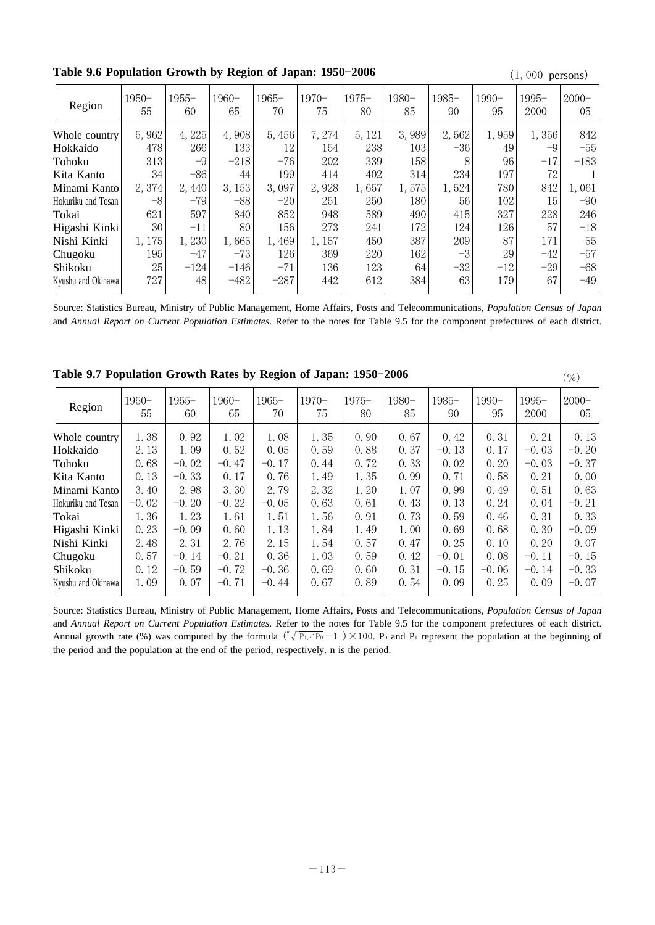|                    |                |                |               |                |               |               |             |                |             | $(1, 000 \mu L)$ |                |
|--------------------|----------------|----------------|---------------|----------------|---------------|---------------|-------------|----------------|-------------|------------------|----------------|
| Region             | $1950 -$<br>55 | $1955 -$<br>60 | $1960-$<br>65 | $1965 -$<br>70 | $1970-$<br>75 | $1975-$<br>80 | 1980-<br>85 | $1985 -$<br>90 | 1990-<br>95 | 1995–<br>2000    | $2000 -$<br>05 |
| Whole country      | 5,962          | 4,225          | 4,908         | 5,456          | 7,274         | 5, 121        | 3,989       | 2,562          | 1,959       | 1,356            | 842            |
| Hokkaido           | 478            | 266            | 133           | 12             | 154           | 238           | 103         | $-36$          | 49          | -9               | $-55$          |
| Tohoku             | 313            | $-9$           | $-218$        | $-76$          | 202           | 339           | 158         | 8              | 96          | $-17$            | $-183$         |
| Kita Kanto         | 34             | $-86$          | 44            | 199            | 414           | 402           | 314         | 234            | 197         | 72               |                |
| Minami Kanto       | 2,374          | 2,440          | 3, 153        | 3,097          | 2,928         | 1,657         | 1,575       | 1,524          | 780         | 842              | 1,061          |
| Hokuriku and Tosan | $-8$           | $-79$          | $-88$         | $-20$          | 251           | 250           | 180         | 56             | 102         | 15               | $-90$          |
| Tokai              | 621            | 597            | 840           | 852            | 948           | 589           | 490         | 415            | 327         | 228              | 246            |
| Higashi Kinki      | 30             | -11            | 80            | 156            | 273           | 241           | 172         | 124            | 126         | 57               | $-18$          |
| Nishi Kinki        | 1,175          | 1,230          | 1,665         | 1,469          | 1,157         | 450           | 387         | 209            | 87          | 171              | 55             |
| Chugoku            | 195            | $-47$          | $-73$         | 126            | 369           | 220           | 162         | $-3$           | 29          | $-42$            | $-57$          |
| Shikoku            | 25             | $-124$         | $-146$        | $-71$          | 136           | 123           | 64          | $-32$          | $-12$       | $-29$            | $-68$          |
| Kyushu and Okinawa | 727            | 48             | $-482$        | $-287$         | 442           | 612           | 384         | 63             | 179         | 67               | $-49$          |

**Table 9.6 Population Growth by Region of Japan: 1950-2006** (1,000 persons)

Source: Statistics Bureau, Ministry of Public Management, Home Affairs, Posts and Telecommunications, *Population Census of Japan* and Annual Report on Current Population Estimates. Refer to the notes for Table 9.5 for the component prefectures of each district.

| Region             | 1950-<br>55 | 1955–<br>60 | $1960-$<br>65 | $1965-$<br>70 | $1970-$<br>75 | $1975 -$<br>80 | 1980-<br>85 | $1985-$<br>90 | 1990-<br>95 | 1995–<br>2000 | $2000 -$<br>05 |
|--------------------|-------------|-------------|---------------|---------------|---------------|----------------|-------------|---------------|-------------|---------------|----------------|
| Whole country      | 1.38        | 0.92        | 1.02          | 1.08          | 1.35          | 0.90           | 0.67        | 0.42          | 0.31        | 0.21          | 0.13           |
| Hokkaido           | 2.13        | 1.09        | 0.52          | 0.05          | 0.59          | 0.88           | 0.37        | $-0.13$       | 0.17        | $-0.03$       | $-0.20$        |
| Tohoku             | 0.68        | $-0.02$     | $-0.47$       | $-0.17$       | 0.44          | 0.72           | 0.33        | 0.02          | 0.20        | $-0.03$       | $-0.37$        |
| Kita Kanto         | 0.13        | $-0.33$     | 0.17          | 0.76          | 1.49          | 1.35           | 0.99        | 0.71          | 0.58        | 0.21          | 0.00           |
| Minami Kanto       | 3.40        | 2.98        | 3.30          | 2.79          | 2.32          | 1.20           | 1.07        | 0.99          | 0.49        | 0.51          | 0.63           |
| Hokuriku and Tosan | $-0.02$     | $-0.20$     | $-0.22$       | $-0.05$       | 0.63          | 0.61           | 0.43        | 0.13          | 0.24        | 0.04          | $-0.21$        |
| Tokai              | 1.36        | 1.23        | 1.61          | 1.51          | 1.56          | 0.91           | 0.73        | 0.59          | 0.46        | 0.31          | 0.33           |
| Higashi Kinki      | 0.23        | $-0.09$     | 0.60          | 1.13          | 1.84          | 1.49           | 1.00        | 0.69          | 0.68        | 0.30          | $-0.09$        |
| Nishi Kinki        | 2.48        | 2.31        | 2.76          | 2.15          | 1.54          | 0.57           | 0.47        | 0.25          | 0.10        | 0.20          | 0.07           |
| Chugoku            | 0.57        | $-0.14$     | $-0.21$       | 0.36          | 1.03          | 0.59           | 0.42        | $-0.01$       | 0.08        | $-0.11$       | $-0.15$        |
| Shikoku            | 0.12        | $-0.59$     | $-0.72$       | $-0.36$       | 0.69          | 0.60           | 0.31        | $-0.15$       | $-0.06$     | $-0.14$       | $-0.33$        |
| Kyushu and Okinawa | 1.09        | 0.07        | $-0.71$       | $-0.44$       | 0.67          | 0.89           | 0.54        | 0.09          | 0.25        | 0.09          | $-0.07$        |
|                    |             |             |               |               |               |                |             |               |             |               |                |

**Table 9.7 Population Growth Rates by Region of Japan: 1950-2006** (%)

Source: Statistics Bureau, Ministry of Public Management, Home Affairs, Posts and Telecommunications, *Population Census of Japan* and Annual Report on Current Population Estimates. Refer to the notes for Table 9.5 for the component prefectures of each district. Annual growth rate (%) was computed by the formula  $({^{\pi}\sqrt{P_1/P_0}}-1) \times 100$ . P<sub>0</sub> and P<sub>1</sub> represent the population at the beginning of the period and the population at the end of the period, respectively. n is the period.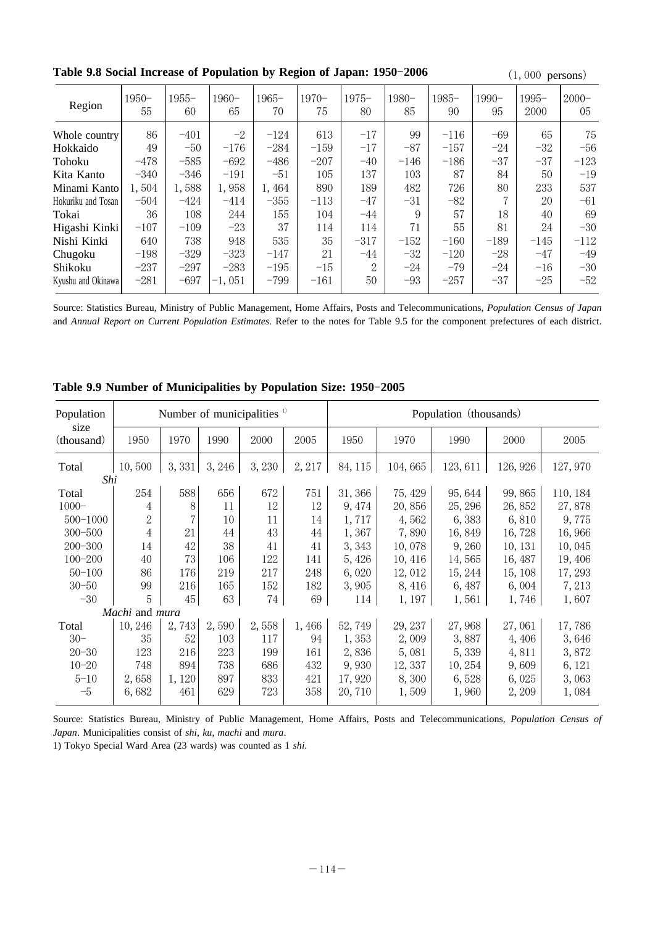Table 9.8 Social Increase of Population by Region of Japan: 1950-2006

|  |  | $(1,000 \text{ persons})$ |
|--|--|---------------------------|
|--|--|---------------------------|

| Region             | $1950 -$<br>55 | $1955 -$<br>60 | 1960-<br>65 | $1965 -$<br>70 | $1970-$<br>75 | $1975-$<br>80  | 1980-<br>85 | $1985 -$<br>90 | 1990-<br>95 | 1995–<br>2000 | $2000 -$<br>05 |
|--------------------|----------------|----------------|-------------|----------------|---------------|----------------|-------------|----------------|-------------|---------------|----------------|
| Whole country      | 86             | $-401$         | $-2$        | $-124$         | 613           | $-17$          | 99          | $-116$         | $-69$       | 65            | 75             |
| Hokkaido           | 49             | $-50$          | $-176$      | $-284$         | $-159$        | $-17$          | $-87$       | $-157$         | $-24$       | $-32$         | $-56$          |
| Tohoku             | $-478$         | $-585$         | $-692$      | $-486$         | $-207$        | $-40$          | $-146$      | $-186$         | $-37$       | $-37$         | $-123$         |
| Kita Kanto         | $-340$         | $-346$         | $-191$      | $-51$          | 105           | 137            | 103         | 87             | 84          | 50            | $-19$          |
| Minami Kanto       | 1,504          | 1,588          | 1,958       | 1,464          | 890           | 189            | 482         | 726            | 80          | 233           | 537            |
| Hokuriku and Tosan | $-504$         | $-424$         | $-414$      | $-355$         | $-113$        | $-47$          | $-31$       | $-82$          | 7           | 20            | $-61$          |
| Tokai              | 36             | 108            | 244         | 155            | 104           | $-44$          | 9           | 57             | 18          | 40            | 69             |
| Higashi Kinki      | $-107$         | $-109$         | $-23$       | 37             | 114           | 114            | 71          | 55             | 81          | 24            | $-30$          |
| Nishi Kinki        | 640            | 738            | 948         | 535            | 35            | $-317$         | $-152$      | $-160$         | $-189$      | $-145$        | $-112$         |
| Chugoku            | $-198$         | $-329$         | $-323$      | $-147$         | 21            | $-44$          | $-32$       | $-120$         | $-28$       | $-47$         | $-49$          |
| Shikoku            | $-237$         | $-297$         | $-283$      | $-195$         | $-15$         | $\overline{2}$ | $-24$       | $-79$          | $-24$       | $-16$         | $-30$          |
| Kyushu and Okinawa | $-281$         | $-697$         | $-1,051$    | $-799$         | $-161$        | 50             | $-93$       | $-257$         | $-37$       | $-25$         | $-52$          |

Source: Statistics Bureau, Ministry of Public Management, Home Affairs, Posts and Telecommunications, *Population Census of Japan* and Annual Report on Current Population Estimates. Refer to the notes for Table 9.5 for the component prefectures of each district.

| Population         |                |        |        | Number of municipalities $\frac{1}{2}$ |        | Population (thousands) |         |          |          |          |  |
|--------------------|----------------|--------|--------|----------------------------------------|--------|------------------------|---------|----------|----------|----------|--|
| size<br>(thousand) | 1950           | 1970   | 1990   | 2000                                   | 2005   | 1950                   | 1970    | 1990     | 2000     | 2005     |  |
| Total              | 10,500         | 3,331  | 3, 246 | 3, 230                                 | 2, 217 | 84, 115                | 104,665 | 123, 611 | 126, 926 | 127,970  |  |
| Shi                |                |        |        |                                        |        |                        |         |          |          |          |  |
| Total              | 254            | 588    | 656    | 672                                    | 751    | 31, 366                | 75, 429 | 95, 644  | 99,865   | 110, 184 |  |
| $1000 -$           | 4              | 8      | 11     | 12                                     | 12     | 9, 474                 | 20,856  | 25, 296  | 26,852   | 27,878   |  |
| $500 - 1000$       | $\overline{2}$ |        | 10     | 11                                     | 14     | 1,717                  | 4,562   | 6,383    | 6,810    | 9,775    |  |
| $300 - 500$        | $\overline{4}$ | 21     | 44     | 43                                     | 44     | 1,367                  | 7,890   | 16,849   | 16,728   | 16,966   |  |
| $200 - 300$        | 14             | 42     | 38     | 41                                     | 41     | 3, 343                 | 10,078  | 9,260    | 10, 131  | 10,045   |  |
| $100 - 200$        | 40             | 73     | 106    | 122                                    | 141    | 5,426                  | 10,416  | 14,565   | 16, 487  | 19,406   |  |
| $50 - 100$         | 86             | 176    | 219    | 217                                    | 248    | 6,020                  | 12,012  | 15, 244  | 15, 108  | 17, 293  |  |
| $30 - 50$          | 99             | 216    | 165    | 152                                    | 182    | 3,905                  | 8,416   | 6,487    | 6,004    | 7,213    |  |
| $-30$              | 5              | 45     | 63     | 74                                     | 69     | 114                    | 1, 197  | 1,561    | 1,746    | 1,607    |  |
|                    | Machi and mura |        |        |                                        |        |                        |         |          |          |          |  |
| Total              | 10, 246        | 2,743  | 2,590  | 2,558                                  | 1,466  | 52,749                 | 29, 237 | 27,968   | 27,061   | 17,786   |  |
| $30 -$             | 35             | 52     | 103    | 117                                    | 94     | 1,353                  | 2,009   | 3,887    | 4,406    | 3,646    |  |
| $20 - 30$          | 123            | 216    | 223    | 199                                    | 161    | 2,836                  | 5,081   | 5,339    | 4,811    | 3,872    |  |
| $10 - 20$          | 748            | 894    | 738    | 686                                    | 432    | 9,930                  | 12, 337 | 10, 254  | 9,609    | 6, 121   |  |
| $5 - 10$           | 2,658          | 1, 120 | 897    | 833                                    | 421    | 17,920                 | 8,300   | 6,528    | 6,025    | 3,063    |  |
|                    |                |        |        |                                        |        |                        |         |          |          |          |  |
| $-5$               | 6,682          | 461    | 629    | 723                                    | 358    | 20, 710                | 1,509   | 1,960    | 2,209    | 1,084    |  |

Table 9.9 Number of Municipalities by Population Size: 1950-2005

Source: Statistics Bureau, Ministry of Public Management, Home Affairs, Posts and Telecommunications, *Population Census of Japan.* Municipalities consist of shi, ku, machi and mura.

1) Tokyo Special Ward Area (23 wards) was counted as 1 shi.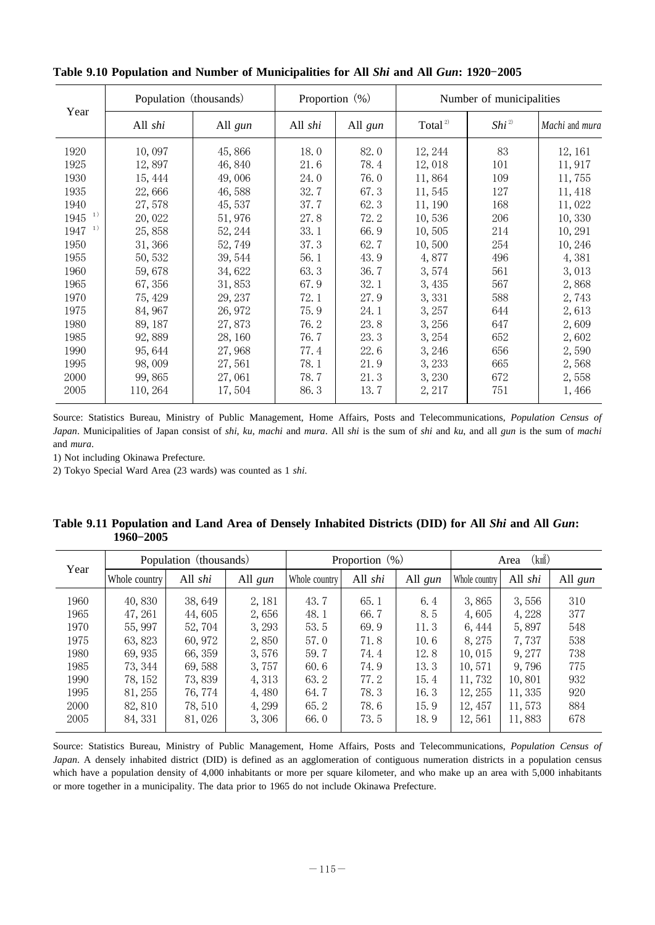| Year       | Population (thousands) |         | Proportion $(\%)$ |         | Number of municipalities |                  |                |  |
|------------|------------------------|---------|-------------------|---------|--------------------------|------------------|----------------|--|
|            | All shi                | All gun | All shi           | All gun | Total <sup>2)</sup>      | Shi <sup>2</sup> | Machi and mura |  |
| 1920       | 10,097                 | 45,866  | 18.0              | 82.0    | 12, 244                  | 83               | 12, 161        |  |
| 1925       | 12,897                 | 46,840  | 21.6              | 78.4    | 12,018                   | 101              | 11, 917        |  |
| 1930       | 15, 444                | 49,006  | 24.0              | 76.0    | 11,864                   | 109              | 11,755         |  |
| 1935       | 22,666                 | 46,588  | 32.7              | 67.3    | 11,545                   | 127              | 11, 418        |  |
| 1940       | 27,578                 | 45, 537 | 37.7              | 62.3    | 11, 190                  | 168              | 11,022         |  |
| 1)<br>1945 | 20,022                 | 51,976  | 27.8              | 72.2    | 10,536                   | 206              | 10,330         |  |
| 1)<br>1947 | 25,858                 | 52, 244 | 33.1              | 66.9    | 10,505                   | 214              | 10, 291        |  |
| 1950       | 31,366                 | 52,749  | 37.3              | 62.7    | 10,500                   | 254              | 10, 246        |  |
| 1955       | 50, 532                | 39, 544 | 56.1              | 43.9    | 4,877                    | 496              | 4,381          |  |
| 1960       | 59,678                 | 34,622  | 63.3              | 36.7    | 3,574                    | 561              | 3,013          |  |
| 1965       | 67,356                 | 31,853  | 67.9              | 32.1    | 3,435                    | 567              | 2,868          |  |
| 1970       | 75, 429                | 29, 237 | 72.1              | 27.9    | 3,331                    | 588              | 2,743          |  |
| 1975       | 84, 967                | 26, 972 | 75.9              | 24.1    | 3, 257                   | 644              | 2,613          |  |
| 1980       | 89, 187                | 27,873  | 76.2              | 23.8    | 3,256                    | 647              | 2,609          |  |
| 1985       | 92,889                 | 28, 160 | 76.7              | 23.3    | 3, 254                   | 652              | 2,602          |  |
| 1990       | 95, 644                | 27,968  | 77.4              | 22.6    | 3, 246                   | 656              | 2,590          |  |
| 1995       | 98,009                 | 27,561  | 78.1              | 21.9    | 3, 233                   | 665              | 2,568          |  |
| 2000       | 99,865                 | 27,061  | 78.7              | 21.3    | 3,230                    | 672              | 2,558          |  |
| 2005       | 110, 264               | 17,504  | 86.3              | 13.7    | 2, 217                   | 751              | 1,466          |  |

Table 9.10 Population and Number of Municipalities for All *Shi* and All *Gun*: 1920-2005

Source: Statistics Bureau, Ministry of Public Management, Home Affairs, Posts and Telecommunications, *Population Census of Japan.* Municipalities of Japan consist of shi, ku, machi and mura. All shi is the sum of shi and ku, and all gun is the sum of machi and *mura*.

1) Not including Okinawa Prefecture.

2) Tokyo Special Ward Area (23 wards) was counted as 1 shi.

| Table 9.11 Population and Land Area of Densely Inhabited Districts (DID) for All Shi and All Gun: |  |  |  |  |
|---------------------------------------------------------------------------------------------------|--|--|--|--|
| $1960 - 2005$                                                                                     |  |  |  |  |

| Year |               | Population (thousands) |         |               | Proportion $(\%)$ |         | $(km^2)$<br>Area |         |         |  |
|------|---------------|------------------------|---------|---------------|-------------------|---------|------------------|---------|---------|--|
|      | Whole country | All shi                | All gun | Whole country | All shi           | All gun | Whole country    | All shi | All gun |  |
| 1960 | 40,830        | 38, 649                | 2, 181  | 43.7          | 65.1              | 6.4     | 3.865            | 3,556   | 310     |  |
| 1965 | 47, 261       | 44,605                 | 2,656   | 48.1          | 66.7              | 8.5     | 4,605            | 4,228   | 377     |  |
| 1970 | 55, 997       | 52, 704                | 3, 293  | 53.5          | 69.9              | 11.3    | 6, 444           | 5,897   | 548     |  |
| 1975 | 63, 823       | 60, 972                | 2,850   | 57.0          | 71.8              | 10.6    | 8, 275           | 7.737   | 538     |  |
| 1980 | 69.935        | 66, 359                | 3.576   | 59.7          | 74.4              | 12.8    | 10.015           | 9.277   | 738     |  |
| 1985 | 73, 344       | 69,588                 | 3,757   | 60.6          | 74.9              | 13.3    | 10,571           | 9.796   | 775     |  |
| 1990 | 78, 152       | 73,839                 | 4,313   | 63.2          | 77.2              | 15.4    | 11,732           | 10,801  | 932     |  |
| 1995 | 81, 255       | 76, 774                | 4,480   | 64.7          | 78.3              | 16.3    | 12, 255          | 11, 335 | 920     |  |
| 2000 | 82, 810       | 78, 510                | 4,299   | 65.2          | 78.6              | 15.9    | 12, 457          | 11,573  | 884     |  |
| 2005 | 84, 331       | 81,026                 | 3,306   | 66.0          | 73.5              | 18.9    | 12,561           | 11,883  | 678     |  |

Source: Statistics Bureau, Ministry of Public Management, Home Affairs, Posts and Telecommunications, *Population Census of Japan*. A densely inhabited district (DID) is defined as an agglomeration of contiguous numeration districts in a population census which have a population density of 4,000 inhabitants or more per square kilometer, and who make up an area with 5,000 inhabitants or more together in a municipality. The data prior to 1965 do not include Okinawa Prefecture.